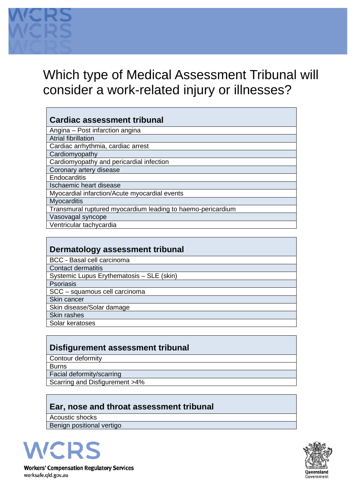

# Which type of Medical Assessment Tribunal will consider a work-related injury or illnesses?

### **Cardiac assessment tribunal**

| Angina - Post infarction angina                             |
|-------------------------------------------------------------|
| <b>Atrial fibrillation</b>                                  |
| Cardiac arrhythmia, cardiac arrest                          |
| Cardiomyopathy                                              |
| Cardiomyopathy and pericardial infection                    |
| Coronary artery disease                                     |
| Endocarditis                                                |
| Ischaemic heart disease                                     |
| Myocardial infarction/Acute myocardial events               |
| <b>Myocarditis</b>                                          |
| Transmural ruptured myocardium leading to haemo-pericardium |
| Vasovagal syncope                                           |
| Ventricular tachycardia                                     |

#### **Disfigurement assessment tribunal**

Contour deformity Burns Facial deformity/scarring Scarring and Disfigurement >4%

## **Ear, nose and throat assessment tribunal**

Acoustic shocks Benign positional vertigo



**Workers' Compensation Regulatory Services** worksafe.qld.gov.au

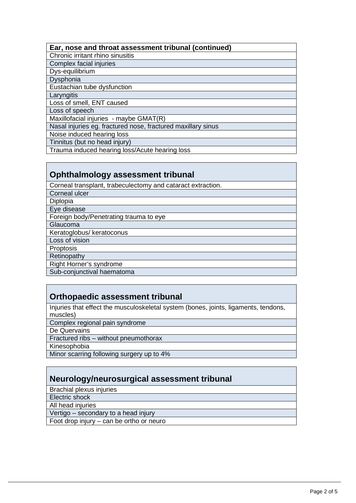#### **Ear, nose and throat assessment tribunal (continued)**

Chronic irritant rhino sinusitis

Complex facial injuries

Dys-equilibrium

Dysphonia

Eustachian tube dysfunction

**Laryngitis** 

Loss of smell, ENT caused

Loss of speech

Maxillofacial injuries - maybe GMAT(R)

Nasal injuries eg. fractured nose, fractured maxillary sinus

Noise induced hearing loss

Tinnitus (but no head injury)

Trauma induced hearing loss/Acute hearing loss

#### **Ophthalmology assessment tribunal**

Corneal transplant, trabeculectomy and cataract extraction.

Corneal ulcer

Diplopia

Eye disease

Foreign body/Penetrating trauma to eye

Glaucoma

Keratoglobus/ keratoconus

Loss of vision

**Proptosis** 

Retinopathy

Right Horner's syndrome

Sub-conjunctival haematoma

### **Orthopaedic assessment tribunal**

Injuries that effect the musculoskeletal system (bones, joints, ligaments, tendons, muscles)

Complex regional pain syndrome

De Quervains

Fractured ribs – without pneumothorax

Kinesophobia

Minor scarring following surgery up to 4%

## **Neurology/neurosurgical assessment tribunal**

Brachial plexus injuries

Electric shock

All head injuries

Vertigo – secondary to a head injury

Foot drop injury – can be ortho or neuro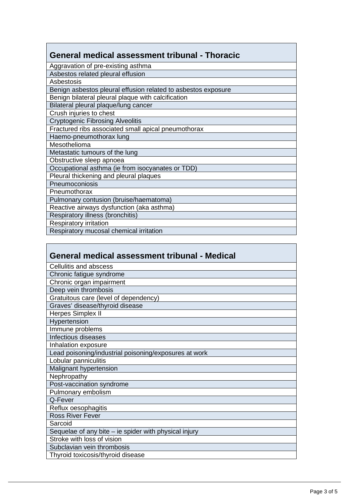| General medical assessment tribunal - Thoracic                |
|---------------------------------------------------------------|
| Aggravation of pre-existing asthma                            |
| Asbestos related pleural effusion                             |
| Asbestosis                                                    |
| Benign asbestos pleural effusion related to asbestos exposure |
| Benign bilateral pleural plaque with calcification            |
| Bilateral pleural plaque/lung cancer                          |
| Crush injuries to chest                                       |
| <b>Cryptogenic Fibrosing Alveolitis</b>                       |
| Fractured ribs associated small apical pneumothorax           |
| Haemo-pneumothorax lung                                       |
| Mesothelioma                                                  |
| Metastatic tumours of the lung                                |
| Obstructive sleep apnoea                                      |
| Occupational asthma (ie from isocyanates or TDD)              |
| Pleural thickening and pleural plaques                        |
| Pneumoconiosis                                                |
| Pneumothorax                                                  |
| Pulmonary contusion (bruise/haematoma)                        |
| Reactive airways dysfunction (aka asthma)                     |
| Respiratory illness (bronchitis)                              |
| <b>Respiratory irritation</b>                                 |
| Respiratory mucosal chemical irritation                       |

| General medical assessment tribunal - Medical         |
|-------------------------------------------------------|
| Cellulitis and abscess                                |
| Chronic fatigue syndrome                              |
| Chronic organ impairment                              |
| Deep vein thrombosis                                  |
| Gratuitous care (level of dependency)                 |
| Graves' disease/thyroid disease                       |
| Herpes Simplex II                                     |
| Hypertension                                          |
| Immune problems                                       |
| Infectious diseases                                   |
| Inhalation exposure                                   |
| Lead poisoning/industrial poisoning/exposures at work |
| Lobular panniculitis                                  |
| Malignant hypertension                                |
| Nephropathy                                           |
| Post-vaccination syndrome                             |
| Pulmonary embolism                                    |
| Q-Fever                                               |
| Reflux oesophagitis                                   |
| <b>Ross River Fever</b>                               |
| Sarcoid                                               |
| Sequelae of any bite – ie spider with physical injury |
| Stroke with loss of vision                            |
| Subclavian vein thrombosis                            |
| Thyroid toxicosis/thyroid disease                     |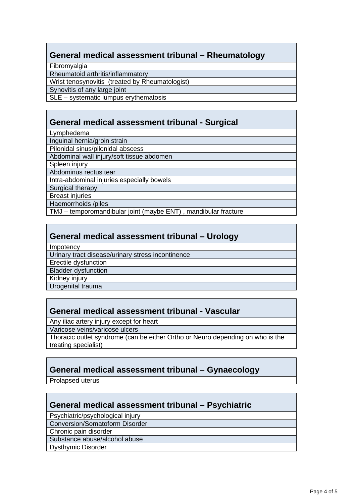## **General medical assessment tribunal – Rheumatology**

Fibromyalgia

Rheumatoid arthritis/inflammatory

Wrist tenosynovitis (treated by Rheumatologist)

Synovitis of any large joint

SLE – systematic lumpus erythematosis

#### **General medical assessment tribunal - Surgical**

Lymphedema

Inguinal hernia/groin strain

Pilonidal sinus/pilonidal abscess

Abdominal wall injury/soft tissue abdomen

Spleen injury

Abdominus rectus tear

Intra-abdominal injuries especially bowels

Surgical therapy

**Breast injuries** 

Haemorrhoids /piles

TMJ – temporomandibular joint (maybe ENT) , mandibular fracture

#### **General medical assessment tribunal – Urology**

Impotency

Urinary tract disease/urinary stress incontinence

Erectile dysfunction

Bladder dysfunction

Kidney injury

Urogenital trauma

### **General medical assessment tribunal - Vascular**

Any iliac artery injury except for heart

Varicose veins/varicose ulcers

Thoracic outlet syndrome (can be either Ortho or Neuro depending on who is the treating specialist)

### **General medical assessment tribunal – Gynaecology**

Prolapsed uterus

### **General medical assessment tribunal – Psychiatric**

Psychiatric/psychological injury

Conversion/Somatoform Disorder

Chronic pain disorder

Substance abuse/alcohol abuse

Dysthymic Disorder